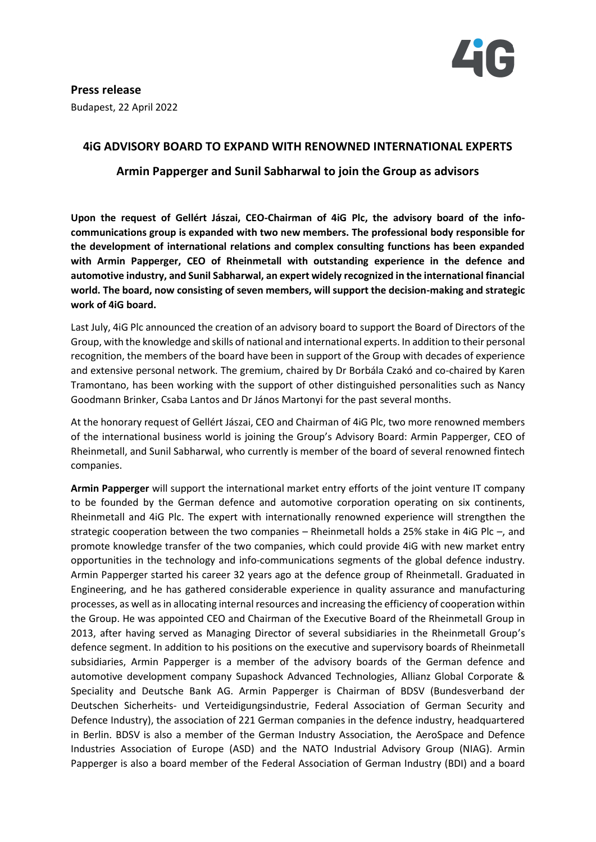

# **4iG ADVISORY BOARD TO EXPAND WITH RENOWNED INTERNATIONAL EXPERTS**

# **Armin Papperger and Sunil Sabharwal to join the Group as advisors**

**Upon the request of Gellért Jászai, CEO-Chairman of 4iG Plc, the advisory board of the infocommunications group is expanded with two new members. The professional body responsible for the development of international relations and complex consulting functions has been expanded with Armin Papperger, CEO of Rheinmetall with outstanding experience in the defence and automotive industry, and Sunil Sabharwal, an expert widely recognized in the international financial world. The board, now consisting of seven members, will support the decision-making and strategic work of 4iG board.**

Last July, 4iG Plc announced the creation of an advisory board to support the Board of Directors of the Group, with the knowledge and skills of national and international experts. In addition to their personal recognition, the members of the board have been in support of the Group with decades of experience and extensive personal network. The gremium, chaired by Dr Borbála Czakó and co-chaired by Karen Tramontano, has been working with the support of other distinguished personalities such as Nancy Goodmann Brinker, Csaba Lantos and Dr János Martonyi for the past several months.

At the honorary request of Gellért Jászai, CEO and Chairman of 4iG Plc, two more renowned members of the international business world is joining the Group's Advisory Board: Armin Papperger, CEO of Rheinmetall, and Sunil Sabharwal, who currently is member of the board of several renowned fintech companies.

**Armin Papperger** will support the international market entry efforts of the joint venture IT company to be founded by the German defence and automotive corporation operating on six continents, Rheinmetall and 4iG Plc. The expert with internationally renowned experience will strengthen the strategic cooperation between the two companies – Rheinmetall holds a 25% stake in 4iG Plc –, and promote knowledge transfer of the two companies, which could provide 4iG with new market entry opportunities in the technology and info-communications segments of the global defence industry. Armin Papperger started his career 32 years ago at the defence group of Rheinmetall. Graduated in Engineering, and he has gathered considerable experience in quality assurance and manufacturing processes, as well as in allocating internal resources and increasing the efficiency of cooperation within the Group. He was appointed CEO and Chairman of the Executive Board of the Rheinmetall Group in 2013, after having served as Managing Director of several subsidiaries in the Rheinmetall Group's defence segment. In addition to his positions on the executive and supervisory boards of Rheinmetall subsidiaries, Armin Papperger is a member of the advisory boards of the German defence and automotive development company Supashock Advanced Technologies, Allianz Global Corporate & Speciality and Deutsche Bank AG. Armin Papperger is Chairman of BDSV (Bundesverband der Deutschen Sicherheits- und Verteidigungsindustrie, Federal Association of German Security and Defence Industry), the association of 221 German companies in the defence industry, headquartered in Berlin. BDSV is also a member of the German Industry Association, the AeroSpace and Defence Industries Association of Europe (ASD) and the NATO Industrial Advisory Group (NIAG). Armin Papperger is also a board member of the Federal Association of German Industry (BDI) and a board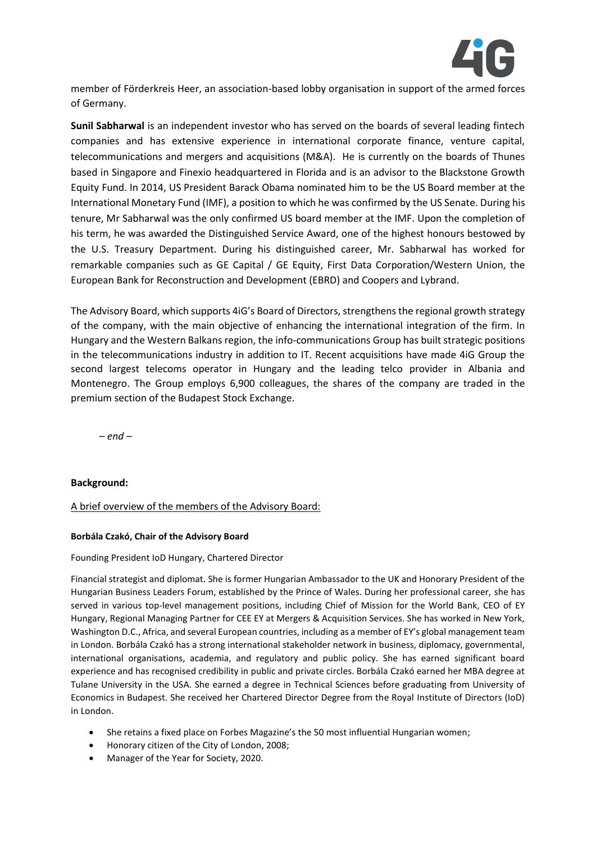

member of Förderkreis Heer, an association-based lobby organisation in support of the armed forces of Germany.

**Sunil Sabharwal** is an independent investor who has served on the boards of several leading fintech companies and has extensive experience in international corporate finance, venture capital, telecommunications and mergers and acquisitions (M&A). He is currently on the boards of Thunes based in Singapore and Finexio headquartered in Florida and is an advisor to the Blackstone Growth Equity Fund. In 2014, US President Barack Obama nominated him to be the US Board member at the International Monetary Fund (IMF), a position to which he was confirmed by the US Senate. During his tenure, Mr Sabharwal was the only confirmed US board member at the IMF. Upon the completion of his term, he was awarded the Distinguished Service Award, one of the highest honours bestowed by the U.S. Treasury Department. During his distinguished career, Mr. Sabharwal has worked for remarkable companies such as GE Capital / GE Equity, First Data Corporation/Western Union, the European Bank for Reconstruction and Development (EBRD) and Coopers and Lybrand.

The Advisory Board, which supports 4iG's Board of Directors, strengthens the regional growth strategy of the company, with the main objective of enhancing the international integration of the firm. In Hungary and the Western Balkans region, the info-communications Group has built strategic positions in the telecommunications industry in addition to IT. Recent acquisitions have made 4iG Group the second largest telecoms operator in Hungary and the leading telco provider in Albania and Montenegro. The Group employs 6,900 colleagues, the shares of the company are traded in the premium section of the Budapest Stock Exchange.

*– end –*

## **Background:**

### A brief overview of the members of the Advisory Board:

### **Borbála Czakó, Chair of the Advisory Board**

### Founding President IoD Hungary, Chartered Director

Financial strategist and diplomat. She is former Hungarian Ambassador to the UK and Honorary President of the Hungarian Business Leaders Forum, established by the Prince of Wales. During her professional career, she has served in various top-level management positions, including Chief of Mission for the World Bank, CEO of EY Hungary, Regional Managing Partner for CEE EY at Mergers & Acquisition Services. She has worked in New York, Washington D.C., Africa, and several European countries, including as a member of EY's global management team in London. Borbála Czakó has a strong international stakeholder network in business, diplomacy, governmental, international organisations, academia, and regulatory and public policy. She has earned significant board experience and has recognised credibility in public and private circles. Borbála Czakó earned her MBA degree at Tulane University in the USA. She earned a degree in Technical Sciences before graduating from University of Economics in Budapest. She received her Chartered Director Degree from the Royal Institute of Directors (IoD) in London.

- She retains a fixed place on Forbes Magazine's the 50 most influential Hungarian women;
- Honorary citizen of the City of London, 2008;
- Manager of the Year for Society, 2020.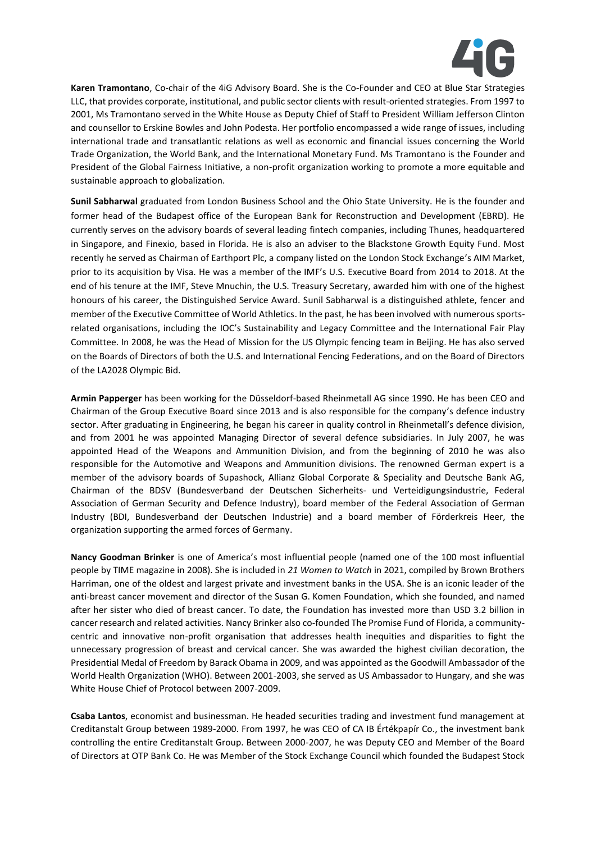

**Karen Tramontano**, Co-chair of the 4iG Advisory Board. She is the Co-Founder and CEO at Blue Star Strategies LLC, that provides corporate, institutional, and public sector clients with result-oriented strategies. From 1997 to 2001, Ms Tramontano served in the White House as Deputy Chief of Staff to President William Jefferson Clinton and counsellor to Erskine Bowles and John Podesta. Her portfolio encompassed a wide range of issues, including international trade and transatlantic relations as well as economic and financial issues concerning the World Trade Organization, the World Bank, and the International Monetary Fund. Ms Tramontano is the Founder and President of the Global Fairness Initiative, a non-profit organization working to promote a more equitable and sustainable approach to globalization.

**Sunil Sabharwal** graduated from London Business School and the Ohio State University. He is the founder and former head of the Budapest office of the European Bank for Reconstruction and Development (EBRD). He currently serves on the advisory boards of several leading fintech companies, including Thunes, headquartered in Singapore, and Finexio, based in Florida. He is also an adviser to the Blackstone Growth Equity Fund. Most recently he served as Chairman of Earthport Plc, a company listed on the London Stock Exchange's AIM Market, prior to its acquisition by Visa. He was a member of the IMF's U.S. Executive Board from 2014 to 2018. At the end of his tenure at the IMF, Steve Mnuchin, the U.S. Treasury Secretary, awarded him with one of the highest honours of his career, the Distinguished Service Award. Sunil Sabharwal is a distinguished athlete, fencer and member of the Executive Committee of World Athletics. In the past, he has been involved with numerous sportsrelated organisations, including the IOC's Sustainability and Legacy Committee and the International Fair Play Committee. In 2008, he was the Head of Mission for the US Olympic fencing team in Beijing. He has also served on the Boards of Directors of both the U.S. and International Fencing Federations, and on the Board of Directors of the LA2028 Olympic Bid.

**Armin Papperger** has been working for the Düsseldorf-based Rheinmetall AG since 1990. He has been CEO and Chairman of the Group Executive Board since 2013 and is also responsible for the company's defence industry sector. After graduating in Engineering, he began his career in quality control in Rheinmetall's defence division, and from 2001 he was appointed Managing Director of several defence subsidiaries. In July 2007, he was appointed Head of the Weapons and Ammunition Division, and from the beginning of 2010 he was also responsible for the Automotive and Weapons and Ammunition divisions. The renowned German expert is a member of the advisory boards of Supashock, Allianz Global Corporate & Speciality and Deutsche Bank AG, Chairman of the BDSV (Bundesverband der Deutschen Sicherheits- und Verteidigungsindustrie, Federal Association of German Security and Defence Industry), board member of the Federal Association of German Industry (BDI, Bundesverband der Deutschen Industrie) and a board member of Förderkreis Heer, the organization supporting the armed forces of Germany.

**Nancy Goodman Brinker** is one of America's most influential people (named one of the 100 most influential people by TIME magazine in 2008). She is included in *21 Women to Watch* in 2021, compiled by Brown Brothers Harriman, one of the oldest and largest private and investment banks in the USA. She is an iconic leader of the anti-breast cancer movement and director of the Susan G. Komen Foundation, which she founded, and named after her sister who died of breast cancer. To date, the Foundation has invested more than USD 3.2 billion in cancer research and related activities. Nancy Brinker also co-founded The Promise Fund of Florida, a communitycentric and innovative non-profit organisation that addresses health inequities and disparities to fight the unnecessary progression of breast and cervical cancer. She was awarded the highest civilian decoration, the Presidential Medal of Freedom by Barack Obama in 2009, and was appointed as the Goodwill Ambassador of the World Health Organization (WHO). Between 2001-2003, she served as US Ambassador to Hungary, and she was White House Chief of Protocol between 2007-2009.

**Csaba Lantos**, economist and businessman. He headed securities trading and investment fund management at Creditanstalt Group between 1989-2000. From 1997, he was CEO of CA IB Értékpapír Co., the investment bank controlling the entire Creditanstalt Group. Between 2000-2007, he was Deputy CEO and Member of the Board of Directors at OTP Bank Co. He was Member of the Stock Exchange Council which founded the Budapest Stock